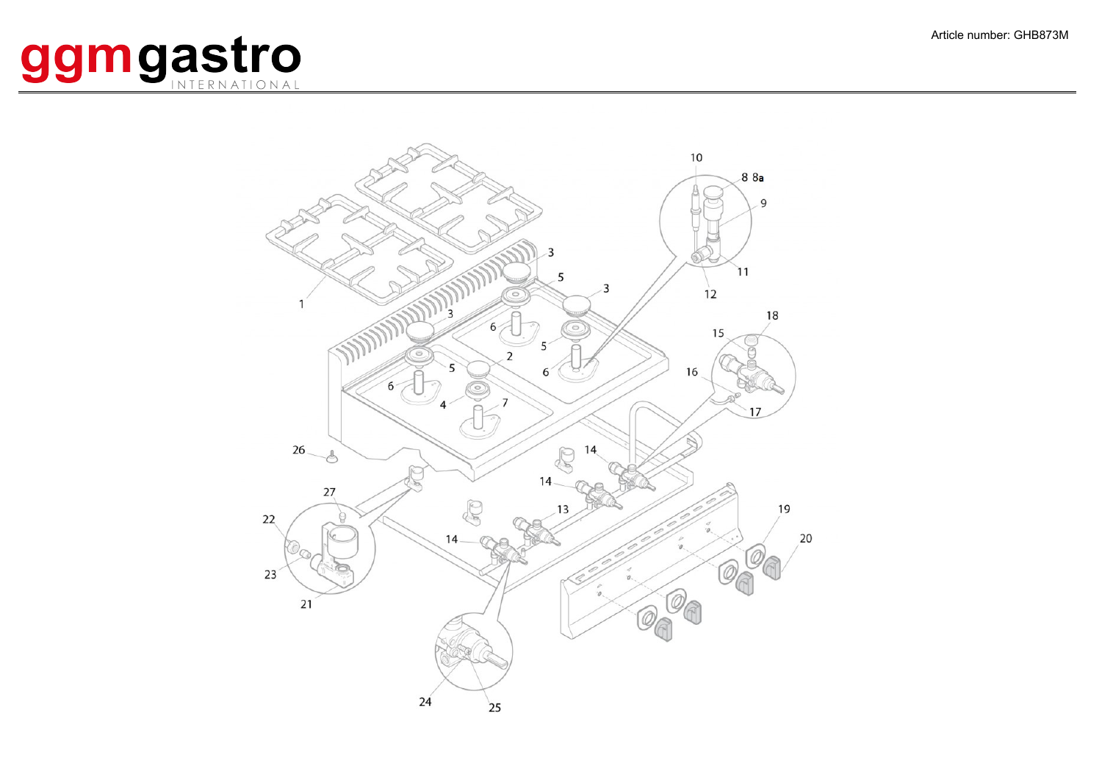